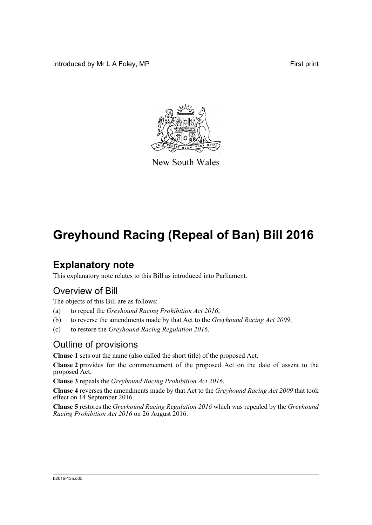Introduced by Mr L A Foley, MP First print



New South Wales

# **Greyhound Racing (Repeal of Ban) Bill 2016**

### **Explanatory note**

This explanatory note relates to this Bill as introduced into Parliament.

#### Overview of Bill

The objects of this Bill are as follows:

- (a) to repeal the *Greyhound Racing Prohibition Act 2016*,
- (b) to reverse the amendments made by that Act to the *Greyhound Racing Act 2009*,
- (c) to restore the *Greyhound Racing Regulation 2016*.

#### Outline of provisions

**Clause 1** sets out the name (also called the short title) of the proposed Act.

**Clause 2** provides for the commencement of the proposed Act on the date of assent to the proposed Act.

**Clause 3** repeals the *Greyhound Racing Prohibition Act 2016*.

**Clause 4** reverses the amendments made by that Act to the *Greyhound Racing Act 2009* that took effect on 14 September 2016.

**Clause 5** restores the *Greyhound Racing Regulation 2016* which was repealed by the *Greyhound Racing Prohibition Act 2016* on 26 August 2016.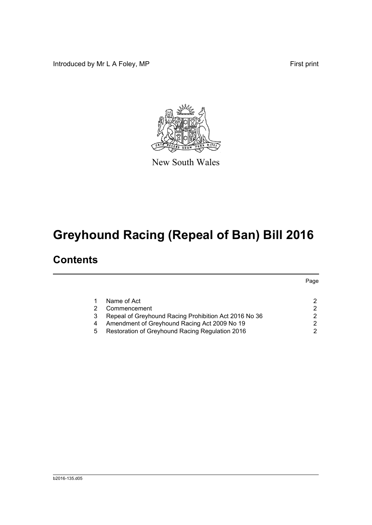Introduced by Mr L A Foley, MP **First** print

Page



New South Wales

# **Greyhound Racing (Repeal of Ban) Bill 2016**

### **Contents**

|   | Name of Act                                           |  |
|---|-------------------------------------------------------|--|
| 2 | Commencement                                          |  |
| 3 | Repeal of Greyhound Racing Prohibition Act 2016 No 36 |  |
| 4 | Amendment of Greyhound Racing Act 2009 No 19          |  |
| 5 | Restoration of Greyhound Racing Regulation 2016       |  |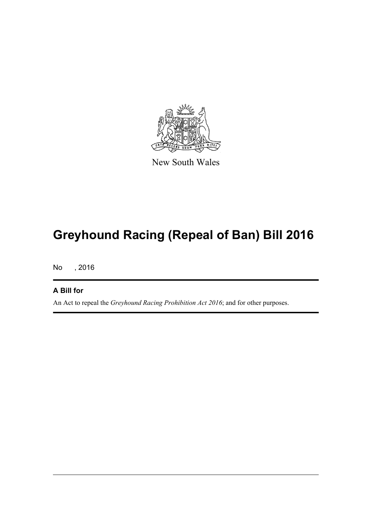

New South Wales

# **Greyhound Racing (Repeal of Ban) Bill 2016**

No , 2016

#### **A Bill for**

An Act to repeal the *Greyhound Racing Prohibition Act 2016*; and for other purposes.